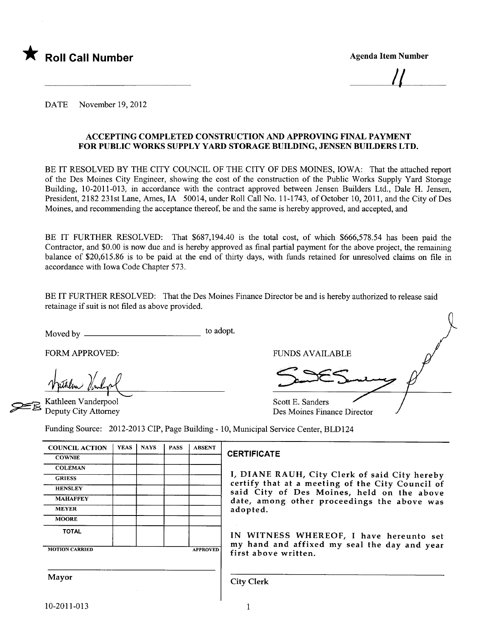

<u>||</u>

DATE November 19,2012

### ACCEPTING COMPLETED CONSTRUCTION AND APPROVING FINAL PAYMENT FOR PUBLIC WORKS SUPPLY YARD STORAGE BUILDING, JENSEN BUILDERS LTD.

BE IT RESOLVED BY THE CITY COUNCIL OF THE CITY OF DES MOINES, IOWA: That the attached report of the Des Moines City Engineer, showing the cost of the construction of the Public Works Supply Yard Storage Building, 10-2011-013, in accordance with the contract approved between Jensen Builders Ltd., Dale H. Jensen, President, 2182 231st Lane, Ames, IA 50014, under Roll Call No. 11-1743, of October 10,2011, and the City of Des Moines, and recommending the acceptance thereof, be and the same is hereby approved, and accepted, and

BE IT FURTHER RESOLVED: That \$687,194.40 is the total cost, of which \$666,578.54 has been paid the Contractor, and \$0.00 is now due and is hereby approved as final partial payment for the above project, the remaining balance of \$20,615.86 is to be paid at the end of thirty days, with funds retained for unresolved claims on file in accordance with Iowa Code Chapter 573.

BE IT FURTHER RESOLVED: That the Des Moines Finance Director be and is hereby authorized to release said retainage if suit is not fied as above provided.

Moved by to adopt.

FORM APPROVED:

Kathleen Vanderpool Deputy City Attorney FUNDS AVAILABLE

Scott E. Sanders

Des Moines Finance Director

Funding Source: 2012-2013 CIP, Page Building - 10, Municipal Service Center, BLD124

| <b>COUNCIL ACTION</b> | <b>YEAS</b> | <b>NAYS</b> | <b>PASS</b> | <b>ABSENT</b>   |  |
|-----------------------|-------------|-------------|-------------|-----------------|--|
| <b>COWNIE</b>         |             |             |             |                 |  |
| <b>COLEMAN</b>        |             |             |             |                 |  |
| <b>GRIESS</b>         |             |             |             |                 |  |
| <b>HENSLEY</b>        |             |             |             |                 |  |
| <b>MAHAFFEY</b>       |             |             |             |                 |  |
| <b>MEYER</b>          |             |             |             |                 |  |
| <b>MOORE</b>          |             |             |             |                 |  |
| <b>TOTAL</b>          |             |             |             |                 |  |
| <b>MOTION CARRIED</b> |             |             |             | <b>APPROVED</b> |  |

### **CERTIFICATE**

I, DIANE RAUH, City Clerk of said City hereby certify that at a meeting of the City Council of said City of Des Moines, held on the above date, among other proceedings the above was adopted.

IN WITNESS WHEREOF, I have hereunto set my hand and affixed my seal the day and year first above written.

Mayor Gity Clerk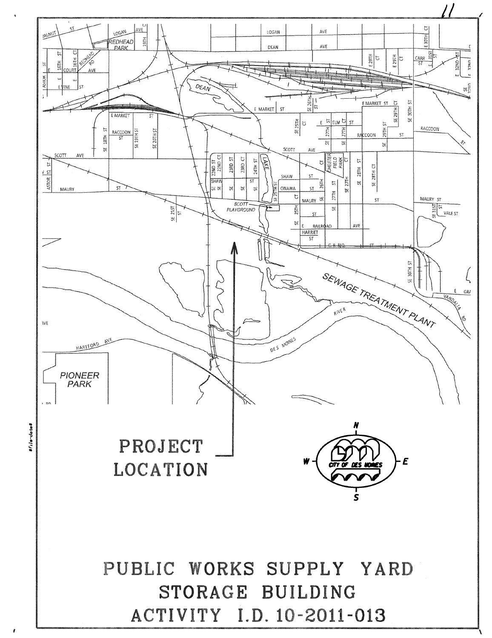

\$file-date\$

ì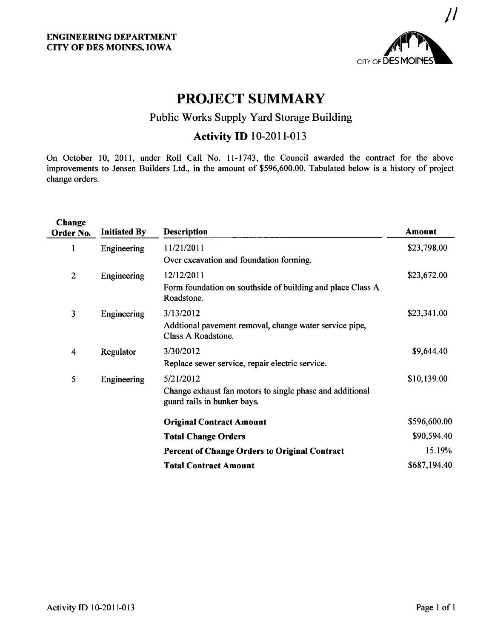

# PROJECT SUMMARY

# Public Works Supply Yard Storage Building

# **Activity ID** 10-2011-013

On October 10, 2011, under Roll Call No. 11-1743, the Council awarded the contract for the above improvements to Jensen Builders Ltd., in the amount of \$596,600.00. Tabulated below is a history of project change orders.

| Change<br>Order No. | <b>Initiated By</b> | <b>Description</b>                                                                      | Amount       |
|---------------------|---------------------|-----------------------------------------------------------------------------------------|--------------|
| 1                   | Engineering         | 11/21/2011                                                                              | \$23,798.00  |
|                     |                     | Over excavation and foundation forming.                                                 |              |
| $\overline{2}$      | Engineering         | 12/12/2011                                                                              | \$23,672.00  |
|                     |                     | Form foundation on southside of building and place Class A<br>Roadstone.                |              |
| 3                   | Engineering         | 3/13/2012                                                                               | \$23,341.00  |
|                     |                     | Addtional pavement removal, change water service pipe,<br>Class A Roadstone.            |              |
| 4                   | Regulator           | 3/30/2012                                                                               | \$9,644.40   |
|                     |                     | Replace sewer service, repair electric service.                                         |              |
| 5                   | Engineering         | 5/21/2012                                                                               | \$10,139.00  |
|                     |                     | Change exhaust fan motors to single phase and additional<br>guard rails in bunker bays. |              |
|                     |                     | <b>Original Contract Amount</b>                                                         | \$596,600.00 |
|                     |                     | <b>Total Change Orders</b>                                                              | \$90,594.40  |
|                     |                     | <b>Percent of Change Orders to Original Contract</b>                                    | 15.19%       |
|                     |                     | <b>Total Contract Amount</b>                                                            | \$687,194.40 |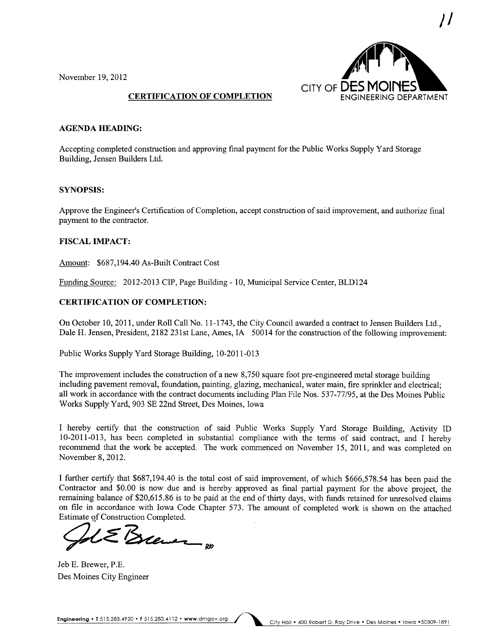November 19,2012



### CERTIFICATION OF COMPLETION

### AGENDA HEADING:

Accepting completed construction and approving final payment for the Public Works Supply Yard Storage Building, Jensen Builders Ltd.

### SYNOPSIS:

Approve the Engineer's Certification of Completion, accept construction of said improvement, and authorize final payment to the contractor.

### FISCAL IMPACT:

Amount: \$687,194.40 As-Built Contract Cost

Funding Source: 2012-2013 CIP, Page Building - 10, Municipal Service Center, BLD124

### CERTIFICATION OF COMPLETION:

On October 10,2011, under Roll Call No. 11-1743, the City Council awarded a contract to Jensen Builders Ltd., Dale H. Jensen, President, 2182 231st Lane, Ames, IA 50014 for the construction of the following improvement:

Public Works Supply Yard Storage Building, 10-2011-013

The improvement includes the construction of a new 8,750 square foot pre-engineered metal storage building including pavement removal, foundation, painting, glazing, mechanical, water main, fire sprinkler and electrical; all work in accordance with the contract documents including Plan File Nos. 537-77/95, at the Des Moines Public Works Supply Yard, 903 SE 22nd Street, Des Moines, Iowa

I hereby certify that the construction of said Public Works Supply Yard Storage Building, Activity ID 10-2011-013, has been completed in substantial compliance with the terms of said contract, and I hereby recommend that the work be accepted. The work commenced on November 15, 2011, and was completed on November 8, 2012.

I further certify that \$687,194.40 is the total cost of said improvement, of which \$666,578.54 has been paid the Contractor and \$0.00 is now due and is hereby approved as final partial payment for the above project, the remaining balance of \$20,615.86 is to be paid at the end of thirty days, with funds retained for unresolved claims on file in accordance with Iowa Code Chapter 573. The amount of completed work is shown on the attached Estimate of Construction Completed.

 $\mathcal{S}$ lemar pp

Jeb E. Brewer, P.E. Des Moines City Engineer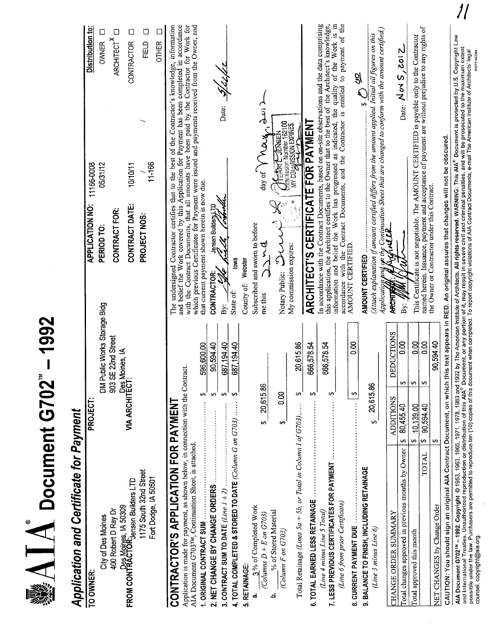| $\mathbf{A}$ $\mathbf{A}$ Document G702                                                                                                                                                                                                                                                                                                                                                    |                                       |                                                                                                                                                                                                           |                                                                                                |                                  |
|--------------------------------------------------------------------------------------------------------------------------------------------------------------------------------------------------------------------------------------------------------------------------------------------------------------------------------------------------------------------------------------------|---------------------------------------|-----------------------------------------------------------------------------------------------------------------------------------------------------------------------------------------------------------|------------------------------------------------------------------------------------------------|----------------------------------|
| Application and Certificate for Payment                                                                                                                                                                                                                                                                                                                                                    |                                       |                                                                                                                                                                                                           |                                                                                                |                                  |
| TO OWNER:                                                                                                                                                                                                                                                                                                                                                                                  | PROJECT:                              | <b>APPLICATION NO:</b>                                                                                                                                                                                    | 11166-0008                                                                                     | Distribution to:                 |
| City of Des Moines                                                                                                                                                                                                                                                                                                                                                                         | DM Public Works Storage Bldg          | PERIOD TO:                                                                                                                                                                                                | 05/31/12                                                                                       | $\Box$<br><b>OWNER</b>           |
| 400 Robert D Ray Dr                                                                                                                                                                                                                                                                                                                                                                        | 903 SE 22nd Street                    | CONTRACT FOR:                                                                                                                                                                                             |                                                                                                | $\Box$<br>ARCHITECT <sup>X</sup> |
| Des Moines, IA 50309<br>FROM CONTRACTOR:<br>Jensen Builders LTD                                                                                                                                                                                                                                                                                                                            | VIA ARCHITECT:<br>VIA ARCHITECT:      |                                                                                                                                                                                                           |                                                                                                |                                  |
|                                                                                                                                                                                                                                                                                                                                                                                            |                                       | CONTRACT DATE:                                                                                                                                                                                            | 10/10/11                                                                                       | ⊡<br>CONTRACTOR                  |
| 1175 South 32nd Street                                                                                                                                                                                                                                                                                                                                                                     |                                       | PROJECT NOS:                                                                                                                                                                                              |                                                                                                | Д<br>FIELD                       |
| Fort Dodge, IA 50501                                                                                                                                                                                                                                                                                                                                                                       |                                       |                                                                                                                                                                                                           | 11-166                                                                                         | ⊏<br><b>OTHER</b>                |
| CONTRACTOR'S APPLICATION FOR PAYMENT                                                                                                                                                                                                                                                                                                                                                       |                                       | The undersigned Contractor certifies that to the best of the Contractor's knowledge, information                                                                                                          |                                                                                                |                                  |
| Application is made for payment, as shown below, in connection with the Contract.                                                                                                                                                                                                                                                                                                          |                                       | and belief the Work covered by this Application for Payment has been completed in accordance with the Contract Documents, that all amounts have been paid by the Contractor for Work for                  |                                                                                                |                                  |
| AIA Document G703 <sup>TM</sup> , Continuation Sheet, is attached.<br>1. ORIGINAL CONTRACT SUM                                                                                                                                                                                                                                                                                             | 596,600.00<br>₩                       | which previous Certificates for Payment were issued and payments received from the Owner, and<br>that current payment shown herein is now due.                                                            |                                                                                                |                                  |
|                                                                                                                                                                                                                                                                                                                                                                                            | 90,594.40<br>∽                        | di fiseb Bring uesuar<br>CONTRACTOR:                                                                                                                                                                      |                                                                                                |                                  |
| 3. CONTRACT SUM TO DATE (Line $1 \pm 2$ )                                                                                                                                                                                                                                                                                                                                                  | 687,194.40<br>↮                       | By:                                                                                                                                                                                                       | Date:                                                                                          |                                  |
| 4. TOTAL COMPLETED & STORED TO DATE (Column G on $G703$ )                                                                                                                                                                                                                                                                                                                                  | .194.40<br>687<br>မာ                  | lowa<br>State of:                                                                                                                                                                                         |                                                                                                |                                  |
| 5. RETAINAGE                                                                                                                                                                                                                                                                                                                                                                               |                                       | Webster<br>County of:                                                                                                                                                                                     |                                                                                                |                                  |
| 3% of Completed Work<br>ನ                                                                                                                                                                                                                                                                                                                                                                  |                                       | Subscribed and sworn to before                                                                                                                                                                            |                                                                                                |                                  |
| (Columns $D + E$ on $G703$ )                                                                                                                                                                                                                                                                                                                                                               | \$ 20,615.86                          | त्र<br>र<br>me this                                                                                                                                                                                       | لم<br>تق<br>Þ<br>day of Y Very                                                                 |                                  |
| % of Stored Material<br>(Column F on G703)<br>نم                                                                                                                                                                                                                                                                                                                                           | 8<br>↮                                | $\overleftrightarrow{C}$<br>Notary Public:                                                                                                                                                                | <b>KEART JENSE</b>                                                                             |                                  |
|                                                                                                                                                                                                                                                                                                                                                                                            |                                       | My commission expires:                                                                                                                                                                                    | <b>Sommission Number 162100</b><br><b>SERIEXE MODESTIRIES</b>                                  |                                  |
| Total Retainage (Lines 5a + 5b, or Total in Column I of G703)                                                                                                                                                                                                                                                                                                                              | ,615.86<br>ສຸ<br>↔                    |                                                                                                                                                                                                           |                                                                                                |                                  |
| 6. TOTAL EARNED LESS RETAINAGE                                                                                                                                                                                                                                                                                                                                                             | 578.54<br>666,<br>↔                   | <b>ARCHITECT'S CERTIFICATE FOR PAYMENT</b>                                                                                                                                                                |                                                                                                |                                  |
| 7. LESS PREVIOUS CERTIFICATES FOR PAYMENT<br>(Line 4 minus Line 5 Total)                                                                                                                                                                                                                                                                                                                   | 578.54<br>666,<br>↔                   | In accordance with the Contract Documents, based on on-site observations and the data comprising<br>this application, the Architect certifies to the Owner that to the best of the Architect's knowledge, |                                                                                                |                                  |
| (Line 6 from prior Certificate)                                                                                                                                                                                                                                                                                                                                                            |                                       | information and belief the Work has progressed as indicated, the quality of the Work is in accordance with the Contract Documents, and the Contractor is entitled to payment of the                       |                                                                                                |                                  |
| 8. CURRENT PAYMENT DUE                                                                                                                                                                                                                                                                                                                                                                     | $\frac{8}{10}$<br>S                   | AMOUNT CERTIFIED                                                                                                                                                                                          |                                                                                                |                                  |
| 9. BALANCE TO FINISH, INCLUDING RETAINAGE                                                                                                                                                                                                                                                                                                                                                  |                                       | <b>AMOUNT CERTIFIED</b>                                                                                                                                                                                   | $\leftrightarrow$                                                                              | $\frac{2}{3}$                    |
| (Line 3 minus Line $6$ )                                                                                                                                                                                                                                                                                                                                                                   | 20,615.86<br>မာ                       | (Attach explanation if amount certified differs from the amount applied. Initial all figures on this                                                                                                      |                                                                                                |                                  |
| CHANGE ORDER SUMMARY                                                                                                                                                                                                                                                                                                                                                                       | <b>DEDUCTIONS</b><br><b>ADDITIONS</b> | Application<br><b>ARCHITA</b>                                                                                                                                                                             | $e$ Continuation Sheet that are changed to conform with the amount certified.)<br><b>IALLE</b> |                                  |
| Total changes approved in previous months by Owner                                                                                                                                                                                                                                                                                                                                         | 0.00<br>⊷<br>80,455.40<br>⊷           | By:                                                                                                                                                                                                       |                                                                                                | Date: $N$ ov $S$ , 2012          |
| Total approved this month                                                                                                                                                                                                                                                                                                                                                                  | 8 <sub>0</sub><br>↮<br>10.139.00<br>↔ | This Certificate is not negotiable. The AMOUNT CERTIFIED is payable only to the Contractor                                                                                                                |                                                                                                |                                  |
| <b>LATOT</b>                                                                                                                                                                                                                                                                                                                                                                               | 0.00<br>↔<br>90,594.40<br>S,          | named herein. Issuance, payment and acceptance of payment are without prejudice to any rights of<br>the Owner or Contractor under this Contract.                                                          |                                                                                                |                                  |
| NET CHANGES by Change Order                                                                                                                                                                                                                                                                                                                                                                | ,594.40<br>နွ<br>↔                    |                                                                                                                                                                                                           |                                                                                                |                                  |
| AIA Document G702™ – 1992. Copyright © 1953, 1963, 1965, 1971, 1978, 1978, 1983 and 1992 by The American Institute of Architects. All rights reserved. WARNING: This AIA® Document is protected by U.S. Copyright Law<br>and Inte<br>CAUTION: You should sign an original AIA Contract Document, on which this text appears in RED. An original assures that changes will not be obscured. |                                       |                                                                                                                                                                                                           |                                                                                                |                                  |

AlA Document G702™ - 1992. Copyright © 1953, 1965, 1965, 1978, 1978, 1983 and 1992 by The American Institute of Architects. All rights reserved. WARNING: This AIA~ Document is protected by U.S. Copyright Law<br>All Document AlA Document G702™ – 1992. Copyright © 1953, 1963, 1965, 1971, 1978, 1983 and 1992 by The American Institute of Architects. All rights reserved. WARNING: This AIA® Document is protected by U.S. Copyright L<br>and Internationa and International Treaties. Unauthorized reproduction or distribution of this AIA® Document, or any portion of it, may result in severe civil and criminal penalties, and will be prosecuted to the maximum extent and International Ireaties. Unauthorized reproduction or this Authority, Document, or any portion it, inay result in severe that undertaintly and international Ireatios. Unauthorized is legal<br>possible under the law, Purcha

 $\overline{\phantom{a}}$ 

 $\frac{1}{2}$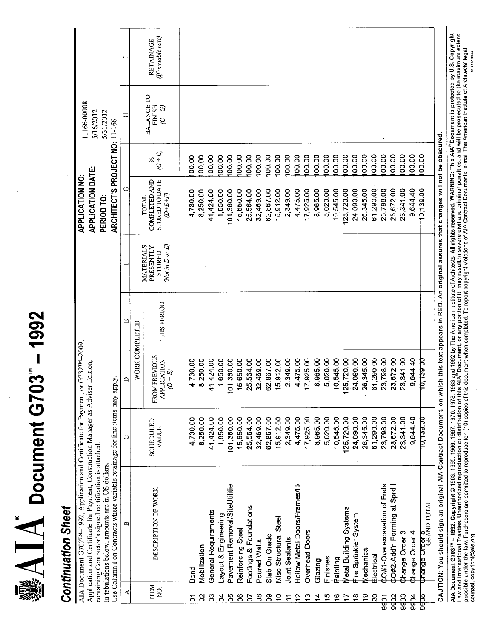$\mathbb{R} \Delta \mathbf{I} \Delta$  Document G703" - 1992

# **Continuation Sheet**

| <b>BALANCE TO</b><br><b>FINISH</b><br>ල -<br>(ට<br>ᆍ<br>$(G + C)$<br>100.00<br>100.00<br>100.00<br>00.00<br>00.00<br>00.00<br>00.00<br>00.00<br>00.00<br>00.00<br>00.00<br>00.00<br>00.00<br>00.00<br>100.00<br>100.00<br>100.00<br>100.00<br>00.00<br>00.00<br>100.00<br><b>00.00</b><br>00.00<br>00.00<br>00.00<br>℅<br><b>STORED TO DATE</b><br>COMPLETED AND<br>↺<br>9,644.40<br>24,090.00<br>26,345.00<br>61,290.00<br>23,798.00<br>23,672.00<br>23,341.00<br>41,424.00<br>1,650.00<br>101,360.00<br>15,650.00<br>25,564.00<br>32,469.00<br>62,867.00<br>15,912.00<br>2,349.00<br>4,475.00<br>17,925.00<br>8,965.00<br>5,020.00<br>10,545.00<br>125,720.00<br>10,139.00<br>4,730.00<br>8,250.00<br>$(D+EL+F)$<br>TOTAL<br>(Not in D or E)<br>MATERIALS<br>PRESENTLY<br>STORED<br>μ.<br>THIS PERIOD<br>ω<br>WORK COMPLETED<br><b>FROM PREVIOUS</b><br>25,720.00<br>24,090.00<br>26,345.00<br>61,290.00<br>23,672.00<br>9,644.40<br>15,912.00<br>2,349.00<br>4,475.00<br>17,925.00<br>8,965.00<br>5,020.00<br>10,545.00<br>23,798.00<br>23,341.00<br>8,250.00<br>41,424.00<br>1,650.00<br>01,360.00<br>15,650.00<br>25,564.00<br>32,469.00<br>62,867.00<br>10,139.00<br>4,730.00<br><b>APPLICATION</b><br>$(D + E)$<br>≏<br>٣<br>ᡪ<br>23,672.00<br>23,341.00<br>9,644.40<br>15,650.00<br>25,564.00<br>32,469.00<br>62,867.00<br>15,912.00<br>2,349.00<br>4,475.00<br>17,925.00<br>8,965.00<br>5,020.00<br>10,545.00<br>125,720.00<br>24,090.00<br>26,345.00<br>61,290.00<br>23,798.00<br>10,139.00<br>4,730.00<br>8,250.00<br>41,424.00<br>1,650.00<br>101,360.00<br><b>SCHEDULED</b><br><b>VALUE</b><br>Co#2-Add'n Forming at Sprd F<br>Hollow Metal Doors/Frames/H<br>CO#1-Overexcavation of Fnds<br>avement Removal/SiteUtilitie<br>DESCRIPTION OF WORK<br><b>GRAND TOTAL</b><br>ootings & Foundations<br>Aetal Building Systems<br>General Requirements<br>ayout & Engineering<br>Fire Sprinkler System<br>Aisc Structural Steel<br>罒<br>Reinforcing Steel<br>Dverhead Doors<br><b>Change Order 4</b><br>Change Order 3<br><b>Slab On Grade</b><br><b>thange Order</b><br>oint Sealants<br>Poured Walls<br><b>Aobilization</b><br><u>lechanical</u><br>Electrical<br>Finishes<br>Painting<br><b>Blazing</b><br>Bond<br>Bond<br><b>ITEM</b><br>$\frac{1}{2}$<br>≺<br>$\frac{6}{5}$<br>$\frac{8}{1}$<br>6r<br>$\overline{S}$<br>9go <sub>3</sub><br>9904<br>8<br>ဠ<br>2<br>95<br>8<br>8<br>$\ddot{ }$<br>$\frac{2}{3}$<br>င္<br>$\frac{1}{2}$<br>9902<br>5<br>ဒိ<br>4<br>$\ddot{ }$<br>9905<br>5<br>11<br><b>Pobo</b> | AIA Document G702 <sup>TM</sup> -1992, Application and Certificate for Payment, or G732 <sup>TM</sup> -2009,<br>Application and Certificate for Payment, Construction Manager as Adviser Edition.<br>Use Column I on Contracts where variable retainage for line items may<br>containing Contractor's signed certification is attached.<br>In tabulations below, amounts are in US dollars. | apply. |  | ARCHITECT'S PROJECT NO: 11-166<br><b>APPLICATION DATE:</b><br>PERIOD TO | 11166-00008<br>5/16/2012<br>5/31/2012 |                                 |
|----------------------------------------------------------------------------------------------------------------------------------------------------------------------------------------------------------------------------------------------------------------------------------------------------------------------------------------------------------------------------------------------------------------------------------------------------------------------------------------------------------------------------------------------------------------------------------------------------------------------------------------------------------------------------------------------------------------------------------------------------------------------------------------------------------------------------------------------------------------------------------------------------------------------------------------------------------------------------------------------------------------------------------------------------------------------------------------------------------------------------------------------------------------------------------------------------------------------------------------------------------------------------------------------------------------------------------------------------------------------------------------------------------------------------------------------------------------------------------------------------------------------------------------------------------------------------------------------------------------------------------------------------------------------------------------------------------------------------------------------------------------------------------------------------------------------------------------------------------------------------------------------------------------------------------------------------------------------------------------------------------------------------------------------------------------------------------------------------------------------------------------------------------------------------------------------------------------------------------------------------------------------------------------------------------------------------------------------------------------------------------------------------------------------------------------------------------------------------------------------------------------------------|---------------------------------------------------------------------------------------------------------------------------------------------------------------------------------------------------------------------------------------------------------------------------------------------------------------------------------------------------------------------------------------------|--------|--|-------------------------------------------------------------------------|---------------------------------------|---------------------------------|
|                                                                                                                                                                                                                                                                                                                                                                                                                                                                                                                                                                                                                                                                                                                                                                                                                                                                                                                                                                                                                                                                                                                                                                                                                                                                                                                                                                                                                                                                                                                                                                                                                                                                                                                                                                                                                                                                                                                                                                                                                                                                                                                                                                                                                                                                                                                                                                                                                                                                                                                            |                                                                                                                                                                                                                                                                                                                                                                                             |        |  |                                                                         |                                       |                                 |
|                                                                                                                                                                                                                                                                                                                                                                                                                                                                                                                                                                                                                                                                                                                                                                                                                                                                                                                                                                                                                                                                                                                                                                                                                                                                                                                                                                                                                                                                                                                                                                                                                                                                                                                                                                                                                                                                                                                                                                                                                                                                                                                                                                                                                                                                                                                                                                                                                                                                                                                            |                                                                                                                                                                                                                                                                                                                                                                                             |        |  |                                                                         |                                       |                                 |
|                                                                                                                                                                                                                                                                                                                                                                                                                                                                                                                                                                                                                                                                                                                                                                                                                                                                                                                                                                                                                                                                                                                                                                                                                                                                                                                                                                                                                                                                                                                                                                                                                                                                                                                                                                                                                                                                                                                                                                                                                                                                                                                                                                                                                                                                                                                                                                                                                                                                                                                            |                                                                                                                                                                                                                                                                                                                                                                                             |        |  |                                                                         |                                       | (If variable rate)<br>RETAINAGE |
|                                                                                                                                                                                                                                                                                                                                                                                                                                                                                                                                                                                                                                                                                                                                                                                                                                                                                                                                                                                                                                                                                                                                                                                                                                                                                                                                                                                                                                                                                                                                                                                                                                                                                                                                                                                                                                                                                                                                                                                                                                                                                                                                                                                                                                                                                                                                                                                                                                                                                                                            |                                                                                                                                                                                                                                                                                                                                                                                             |        |  |                                                                         |                                       |                                 |
|                                                                                                                                                                                                                                                                                                                                                                                                                                                                                                                                                                                                                                                                                                                                                                                                                                                                                                                                                                                                                                                                                                                                                                                                                                                                                                                                                                                                                                                                                                                                                                                                                                                                                                                                                                                                                                                                                                                                                                                                                                                                                                                                                                                                                                                                                                                                                                                                                                                                                                                            |                                                                                                                                                                                                                                                                                                                                                                                             |        |  |                                                                         |                                       |                                 |
|                                                                                                                                                                                                                                                                                                                                                                                                                                                                                                                                                                                                                                                                                                                                                                                                                                                                                                                                                                                                                                                                                                                                                                                                                                                                                                                                                                                                                                                                                                                                                                                                                                                                                                                                                                                                                                                                                                                                                                                                                                                                                                                                                                                                                                                                                                                                                                                                                                                                                                                            |                                                                                                                                                                                                                                                                                                                                                                                             |        |  |                                                                         |                                       |                                 |
|                                                                                                                                                                                                                                                                                                                                                                                                                                                                                                                                                                                                                                                                                                                                                                                                                                                                                                                                                                                                                                                                                                                                                                                                                                                                                                                                                                                                                                                                                                                                                                                                                                                                                                                                                                                                                                                                                                                                                                                                                                                                                                                                                                                                                                                                                                                                                                                                                                                                                                                            |                                                                                                                                                                                                                                                                                                                                                                                             |        |  |                                                                         |                                       |                                 |
|                                                                                                                                                                                                                                                                                                                                                                                                                                                                                                                                                                                                                                                                                                                                                                                                                                                                                                                                                                                                                                                                                                                                                                                                                                                                                                                                                                                                                                                                                                                                                                                                                                                                                                                                                                                                                                                                                                                                                                                                                                                                                                                                                                                                                                                                                                                                                                                                                                                                                                                            |                                                                                                                                                                                                                                                                                                                                                                                             |        |  |                                                                         |                                       |                                 |
|                                                                                                                                                                                                                                                                                                                                                                                                                                                                                                                                                                                                                                                                                                                                                                                                                                                                                                                                                                                                                                                                                                                                                                                                                                                                                                                                                                                                                                                                                                                                                                                                                                                                                                                                                                                                                                                                                                                                                                                                                                                                                                                                                                                                                                                                                                                                                                                                                                                                                                                            |                                                                                                                                                                                                                                                                                                                                                                                             |        |  |                                                                         |                                       |                                 |
|                                                                                                                                                                                                                                                                                                                                                                                                                                                                                                                                                                                                                                                                                                                                                                                                                                                                                                                                                                                                                                                                                                                                                                                                                                                                                                                                                                                                                                                                                                                                                                                                                                                                                                                                                                                                                                                                                                                                                                                                                                                                                                                                                                                                                                                                                                                                                                                                                                                                                                                            |                                                                                                                                                                                                                                                                                                                                                                                             |        |  |                                                                         |                                       |                                 |
|                                                                                                                                                                                                                                                                                                                                                                                                                                                                                                                                                                                                                                                                                                                                                                                                                                                                                                                                                                                                                                                                                                                                                                                                                                                                                                                                                                                                                                                                                                                                                                                                                                                                                                                                                                                                                                                                                                                                                                                                                                                                                                                                                                                                                                                                                                                                                                                                                                                                                                                            |                                                                                                                                                                                                                                                                                                                                                                                             |        |  |                                                                         |                                       |                                 |
|                                                                                                                                                                                                                                                                                                                                                                                                                                                                                                                                                                                                                                                                                                                                                                                                                                                                                                                                                                                                                                                                                                                                                                                                                                                                                                                                                                                                                                                                                                                                                                                                                                                                                                                                                                                                                                                                                                                                                                                                                                                                                                                                                                                                                                                                                                                                                                                                                                                                                                                            |                                                                                                                                                                                                                                                                                                                                                                                             |        |  |                                                                         |                                       |                                 |
|                                                                                                                                                                                                                                                                                                                                                                                                                                                                                                                                                                                                                                                                                                                                                                                                                                                                                                                                                                                                                                                                                                                                                                                                                                                                                                                                                                                                                                                                                                                                                                                                                                                                                                                                                                                                                                                                                                                                                                                                                                                                                                                                                                                                                                                                                                                                                                                                                                                                                                                            |                                                                                                                                                                                                                                                                                                                                                                                             |        |  |                                                                         |                                       |                                 |
|                                                                                                                                                                                                                                                                                                                                                                                                                                                                                                                                                                                                                                                                                                                                                                                                                                                                                                                                                                                                                                                                                                                                                                                                                                                                                                                                                                                                                                                                                                                                                                                                                                                                                                                                                                                                                                                                                                                                                                                                                                                                                                                                                                                                                                                                                                                                                                                                                                                                                                                            |                                                                                                                                                                                                                                                                                                                                                                                             |        |  |                                                                         |                                       |                                 |
|                                                                                                                                                                                                                                                                                                                                                                                                                                                                                                                                                                                                                                                                                                                                                                                                                                                                                                                                                                                                                                                                                                                                                                                                                                                                                                                                                                                                                                                                                                                                                                                                                                                                                                                                                                                                                                                                                                                                                                                                                                                                                                                                                                                                                                                                                                                                                                                                                                                                                                                            |                                                                                                                                                                                                                                                                                                                                                                                             |        |  |                                                                         |                                       |                                 |
|                                                                                                                                                                                                                                                                                                                                                                                                                                                                                                                                                                                                                                                                                                                                                                                                                                                                                                                                                                                                                                                                                                                                                                                                                                                                                                                                                                                                                                                                                                                                                                                                                                                                                                                                                                                                                                                                                                                                                                                                                                                                                                                                                                                                                                                                                                                                                                                                                                                                                                                            |                                                                                                                                                                                                                                                                                                                                                                                             |        |  |                                                                         |                                       |                                 |
|                                                                                                                                                                                                                                                                                                                                                                                                                                                                                                                                                                                                                                                                                                                                                                                                                                                                                                                                                                                                                                                                                                                                                                                                                                                                                                                                                                                                                                                                                                                                                                                                                                                                                                                                                                                                                                                                                                                                                                                                                                                                                                                                                                                                                                                                                                                                                                                                                                                                                                                            |                                                                                                                                                                                                                                                                                                                                                                                             |        |  |                                                                         |                                       |                                 |
|                                                                                                                                                                                                                                                                                                                                                                                                                                                                                                                                                                                                                                                                                                                                                                                                                                                                                                                                                                                                                                                                                                                                                                                                                                                                                                                                                                                                                                                                                                                                                                                                                                                                                                                                                                                                                                                                                                                                                                                                                                                                                                                                                                                                                                                                                                                                                                                                                                                                                                                            |                                                                                                                                                                                                                                                                                                                                                                                             |        |  |                                                                         |                                       |                                 |
|                                                                                                                                                                                                                                                                                                                                                                                                                                                                                                                                                                                                                                                                                                                                                                                                                                                                                                                                                                                                                                                                                                                                                                                                                                                                                                                                                                                                                                                                                                                                                                                                                                                                                                                                                                                                                                                                                                                                                                                                                                                                                                                                                                                                                                                                                                                                                                                                                                                                                                                            |                                                                                                                                                                                                                                                                                                                                                                                             |        |  |                                                                         |                                       |                                 |
|                                                                                                                                                                                                                                                                                                                                                                                                                                                                                                                                                                                                                                                                                                                                                                                                                                                                                                                                                                                                                                                                                                                                                                                                                                                                                                                                                                                                                                                                                                                                                                                                                                                                                                                                                                                                                                                                                                                                                                                                                                                                                                                                                                                                                                                                                                                                                                                                                                                                                                                            |                                                                                                                                                                                                                                                                                                                                                                                             |        |  |                                                                         |                                       |                                 |
|                                                                                                                                                                                                                                                                                                                                                                                                                                                                                                                                                                                                                                                                                                                                                                                                                                                                                                                                                                                                                                                                                                                                                                                                                                                                                                                                                                                                                                                                                                                                                                                                                                                                                                                                                                                                                                                                                                                                                                                                                                                                                                                                                                                                                                                                                                                                                                                                                                                                                                                            |                                                                                                                                                                                                                                                                                                                                                                                             |        |  |                                                                         |                                       |                                 |
|                                                                                                                                                                                                                                                                                                                                                                                                                                                                                                                                                                                                                                                                                                                                                                                                                                                                                                                                                                                                                                                                                                                                                                                                                                                                                                                                                                                                                                                                                                                                                                                                                                                                                                                                                                                                                                                                                                                                                                                                                                                                                                                                                                                                                                                                                                                                                                                                                                                                                                                            |                                                                                                                                                                                                                                                                                                                                                                                             |        |  |                                                                         |                                       |                                 |
|                                                                                                                                                                                                                                                                                                                                                                                                                                                                                                                                                                                                                                                                                                                                                                                                                                                                                                                                                                                                                                                                                                                                                                                                                                                                                                                                                                                                                                                                                                                                                                                                                                                                                                                                                                                                                                                                                                                                                                                                                                                                                                                                                                                                                                                                                                                                                                                                                                                                                                                            |                                                                                                                                                                                                                                                                                                                                                                                             |        |  |                                                                         |                                       |                                 |
|                                                                                                                                                                                                                                                                                                                                                                                                                                                                                                                                                                                                                                                                                                                                                                                                                                                                                                                                                                                                                                                                                                                                                                                                                                                                                                                                                                                                                                                                                                                                                                                                                                                                                                                                                                                                                                                                                                                                                                                                                                                                                                                                                                                                                                                                                                                                                                                                                                                                                                                            |                                                                                                                                                                                                                                                                                                                                                                                             |        |  |                                                                         |                                       |                                 |
|                                                                                                                                                                                                                                                                                                                                                                                                                                                                                                                                                                                                                                                                                                                                                                                                                                                                                                                                                                                                                                                                                                                                                                                                                                                                                                                                                                                                                                                                                                                                                                                                                                                                                                                                                                                                                                                                                                                                                                                                                                                                                                                                                                                                                                                                                                                                                                                                                                                                                                                            |                                                                                                                                                                                                                                                                                                                                                                                             |        |  |                                                                         |                                       |                                 |
|                                                                                                                                                                                                                                                                                                                                                                                                                                                                                                                                                                                                                                                                                                                                                                                                                                                                                                                                                                                                                                                                                                                                                                                                                                                                                                                                                                                                                                                                                                                                                                                                                                                                                                                                                                                                                                                                                                                                                                                                                                                                                                                                                                                                                                                                                                                                                                                                                                                                                                                            |                                                                                                                                                                                                                                                                                                                                                                                             |        |  |                                                                         |                                       |                                 |
|                                                                                                                                                                                                                                                                                                                                                                                                                                                                                                                                                                                                                                                                                                                                                                                                                                                                                                                                                                                                                                                                                                                                                                                                                                                                                                                                                                                                                                                                                                                                                                                                                                                                                                                                                                                                                                                                                                                                                                                                                                                                                                                                                                                                                                                                                                                                                                                                                                                                                                                            |                                                                                                                                                                                                                                                                                                                                                                                             |        |  |                                                                         |                                       |                                 |
|                                                                                                                                                                                                                                                                                                                                                                                                                                                                                                                                                                                                                                                                                                                                                                                                                                                                                                                                                                                                                                                                                                                                                                                                                                                                                                                                                                                                                                                                                                                                                                                                                                                                                                                                                                                                                                                                                                                                                                                                                                                                                                                                                                                                                                                                                                                                                                                                                                                                                                                            |                                                                                                                                                                                                                                                                                                                                                                                             |        |  |                                                                         |                                       |                                 |

AlA Document G703™ – 1992. Copyright © 1963, 1965, 1966, 1967, 1970, 1978, 1983 and 1982 by The American Institute of Architects. All rights reserved. WARNING: This AIA® Document is protected by U.S. Copyright<br>Law and Inte 101210ACD44 counsel, copyright@aia.org.